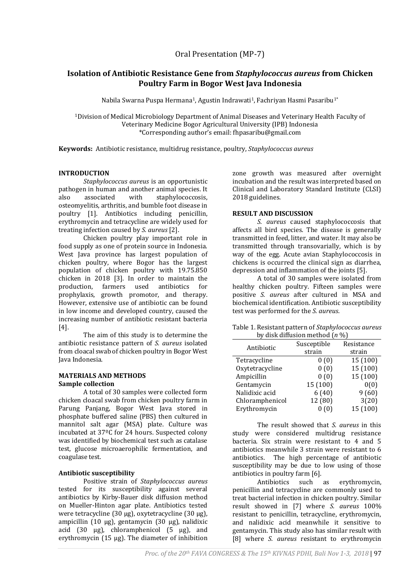# **Isolation of Antibiotic Resistance Gene from** *Staphylococcus aureus* **from Chicken Poultry Farm in Bogor West Java Indonesia**

Nabila Swarna Puspa Hermana<sup>1</sup>, Agustin Indrawati<sup>1</sup>, Fachriyan Hasmi Pasaribu<sup>1\*</sup>

<sup>1</sup>Division of Medical Microbiology Department of Animal Diseases and Veterinary Health Faculty of Veterinary Medicine Bogor Agricultural University (IPB) Indonesia \*Corresponding author's email: fhpasaribu@gmail.com

**Keywords:** Antibiotic resistance, multidrug resistance, poultry, *Staphylococcus aureus*

## **INTRODUCTION**

*Staphylococcus aureus* is an opportunistic pathogen in human and another animal species. It also associated with staphylococcosis, osteomyelitis, arthritis, and bumble foot disease in poultry [1]. Antibiotics including penicillin, erythromycin and tetracycline are widely used for treating infection caused by *S. aureus* [2].

Chicken poultry play important role in food supply as one of protein source in Indonesia. West Java province has largest population of chicken poultry, where Bogor has the largest population of chicken poultry with 19.75.850 chicken in 2018 [3]. In order to maintain the production, farmers used antibiotics for prophylaxis, growth promotor, and therapy. However, extensive use of antibiotic can be found in low income and developed country, caused the increasing number of antibiotic resistant bacteria [4].

The aim of this study is to determine the antibiotic resistance pattern of *S. aureus* isolated from cloacal swab of chicken poultry in Bogor West Java Indonesia.

### **MATERIALS AND METHODS Sample collection**

A total of 30 samples were collected form chicken cloacal swab from chicken poultry farm in Parung Panjang, Bogor West Java stored in phosphate buffered saline (PBS) then cultured in mannitol salt agar (MSA) plate. Culture was incubated at 37ºC for 24 hours. Suspected colony was identified by biochemical test such as catalase test, glucose microaerophilic fermentation, and coagulase test.

## **Antibiotic susceptibility**

Positive strain of *Staphylococcus aureus* tested for its susceptibility against several antibiotics by Kirby-Bauer disk diffusion method on Mueller-Hinton agar plate. Antibiotics tested were tetracycline  $(30 \mu g)$ , oxytetracycline  $(30 \mu g)$ , ampicillin (10 µg), gentamycin (30 µg), nalidixic acid (30 µg), chloramphenicol (5 µg), and erythromycin (15 µg). The diameter of inhibition

zone growth was measured after overnight incubation and the result was interpreted based on Clinical and Laboratory Standard Institute (CLSI) 2018 guidelines.

### **RESULT AND DISCUSSION**

*S. aureus* caused staphylococcosis that affects all bird species. The disease is generally transmitted in feed, litter, and water. It may also be transmitted through transovarially, which is by way of the egg. Acute avian Staphylococcosis in chickens is occurred the clinical sign as diarrhea, depression and inflammation of the joints [5].

A total of 30 samples were isolated from healthy chicken poultry. Fifteen samples were positive *S. aureus* after cultured in MSA and biochemical identification*.* Antibiotic susceptibility test was performed for the *S. aureus*.

| Table 1. Resistant pattern of Staphylococcus aureus |  |
|-----------------------------------------------------|--|
| by disk diffusion method $(n \%)$                   |  |

| Antibiotic      | Susceptible | Resistance |  |
|-----------------|-------------|------------|--|
|                 | strain      | strain     |  |
| Tetracycline    | 0(0)        | 15 (100)   |  |
| Oxytetracycline | 0(0)        | 15 (100)   |  |
| Ampicillin      | 0(0)        | 15 (100)   |  |
| Gentamycin      | 15 (100)    | 0(0)       |  |
| Nalidixic acid  | 6(40)       | 9(60)      |  |
| Chloramphenicol | 12 (80)     | 3(20)      |  |
| Erythromycin    | (0)         | 15 (100)   |  |

The result showed that *S. aureus* in this study were considered multidrug resistance bacteria. Six strain were resistant to 4 and 5 antibiotics meanwhile 3 strain were resistant to 6 antibiotics. The high percentage of antibiotic susceptibility may be due to low using of those antibiotics in poultry farm [6].

Antibiotics such as erythromycin, penicillin and tetracycline are commonly used to treat bacterial infection in chicken poultry. Similar result showed in [7] where *S. aureus* 100% resistant to penicillin, tetracycline, erythromycin, and nalidixic acid meanwhile it sensitive to gentamycin. This study also has similar result with [8] where *S. aureus* resistant to erythromycin